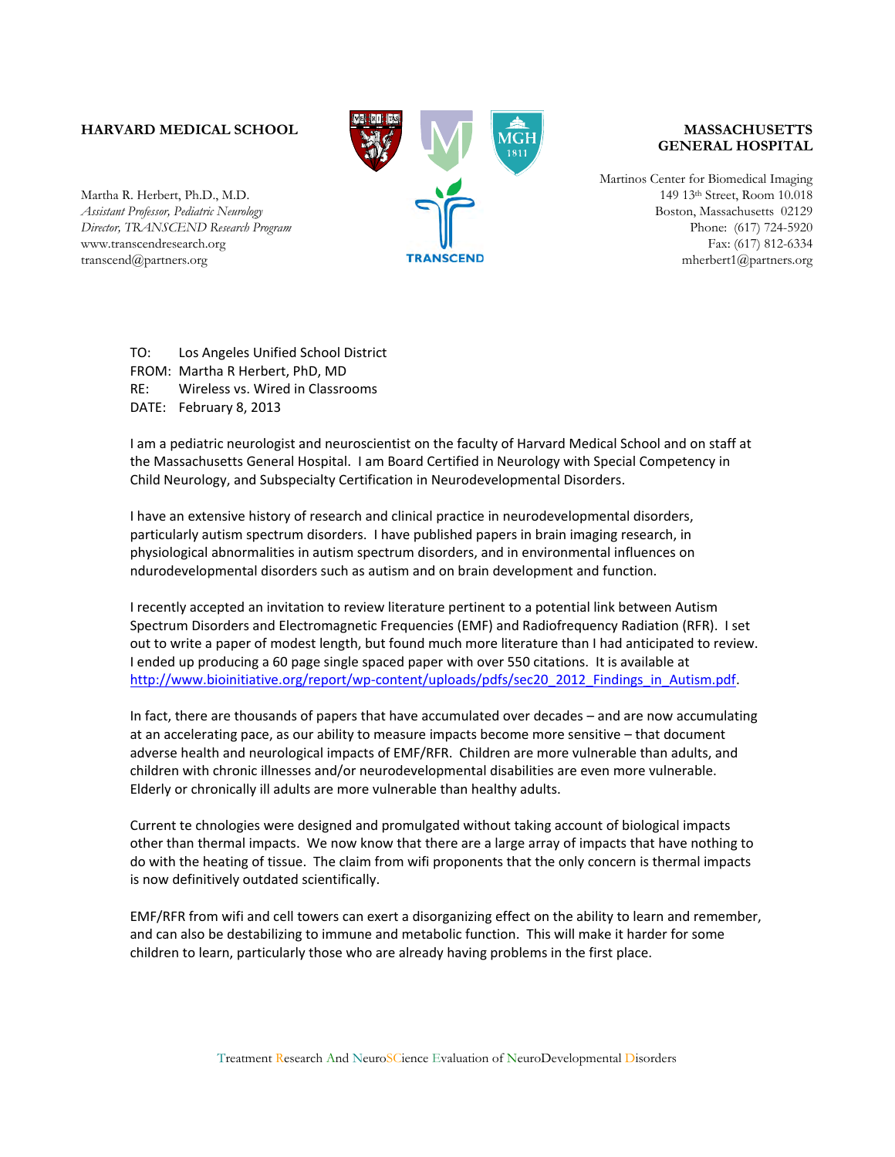## **HARVARD MEDICAL SCHOOL**

Martha R. Herbert, Ph.D., M.D. *Assistant Professor, Pediatric Neurology Director, TRANSCEND Research Program* www.transcendresearch.org transcend@partners.org



## **MASSACHUSETTS GENERAL HOSPITAL**

Martinos Center for Biomedical Imaging 149 13th Street, Room 10.018 Boston, Massachusetts 02129 Phone: (617) 724-5920 Fax: (617) 812-6334 mherbert1@partners.org

TO: Los Angeles Unified School District FROM: Martha R Herbert, PhD, MD RE: Wireless vs. Wired in Classrooms DATE: February 8, 2013

I am a pediatric neurologist and neuroscientist on the faculty of Harvard Medical School and on staff at the Massachusetts General Hospital. I am Board Certified in Neurology with Special Competency in Child Neurology, and Subspecialty Certification in Neurodevelopmental Disorders.

I have an extensive history of research and clinical practice in neurodevelopmental disorders, particularly autism spectrum disorders. I have published papers in brain imaging research, in physiological abnormalities in autism spectrum disorders, and in environmental influences on ndurodevelopmental disorders such as autism and on brain development and function.

I recently accepted an invitation to review literature pertinent to a potential link between Autism Spectrum Disorders and Electromagnetic Frequencies (EMF) and Radiofrequency Radiation (RFR). I set out to write a paper of modest length, but found much more literature than I had anticipated to review. I ended up producing a 60 page single spaced paper with over 550 citations. It is available at http://www.bioinitiative.org/report/wp-content/uploads/pdfs/sec20\_2012\_Findings\_in\_Autism.pdf.

In fact, there are thousands of papers that have accumulated over decades – and are now accumulating at an accelerating pace, as our ability to measure impacts become more sensitive – that document adverse health and neurological impacts of EMF/RFR. Children are more vulnerable than adults, and children with chronic illnesses and/or neurodevelopmental disabilities are even more vulnerable. Elderly or chronically ill adults are more vulnerable than healthy adults.

Current te chnologies were designed and promulgated without taking account of biological impacts other than thermal impacts. We now know that there are a large array of impacts that have nothing to do with the heating of tissue. The claim from wifi proponents that the only concern is thermal impacts is now definitively outdated scientifically.

EMF/RFR from wifi and cell towers can exert a disorganizing effect on the ability to learn and remember, and can also be destabilizing to immune and metabolic function. This will make it harder for some children to learn, particularly those who are already having problems in the first place.